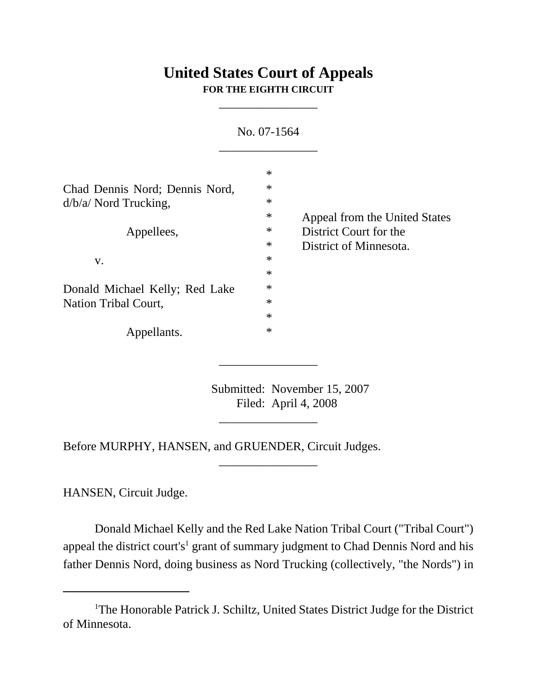## **United States Court of Appeals FOR THE EIGHTH CIRCUIT**

\_\_\_\_\_\_\_\_\_\_\_\_\_\_\_\_

| No. 07-1564                              |                                |
|------------------------------------------|--------------------------------|
| $\ast$                                   |                                |
| $\ast$<br>Chad Dennis Nord; Dennis Nord, |                                |
| $\ast$                                   |                                |
| $\ast$                                   | Appeal from the United States  |
| $\ast$                                   | District Court for the         |
| $\ast$                                   | District of Minnesota.         |
| $\ast$                                   |                                |
| $\ast$                                   |                                |
| $\ast$                                   |                                |
| $\ast$                                   |                                |
| $\ast$                                   |                                |
| $\ast$                                   |                                |
|                                          | Donald Michael Kelly; Red Lake |

Submitted: November 15, 2007 Filed: April 4, 2008

\_\_\_\_\_\_\_\_\_\_\_\_\_\_\_\_

\_\_\_\_\_\_\_\_\_\_\_\_\_\_\_\_

\_\_\_\_\_\_\_\_\_\_\_\_\_\_\_\_

Before MURPHY, HANSEN, and GRUENDER, Circuit Judges.

HANSEN, Circuit Judge.

Donald Michael Kelly and the Red Lake Nation Tribal Court ("Tribal Court") appeal the district court's<sup>1</sup> grant of summary judgment to Chad Dennis Nord and his father Dennis Nord, doing business as Nord Trucking (collectively, "the Nords") in

<sup>&</sup>lt;sup>1</sup>The Honorable Patrick J. Schiltz, United States District Judge for the District of Minnesota.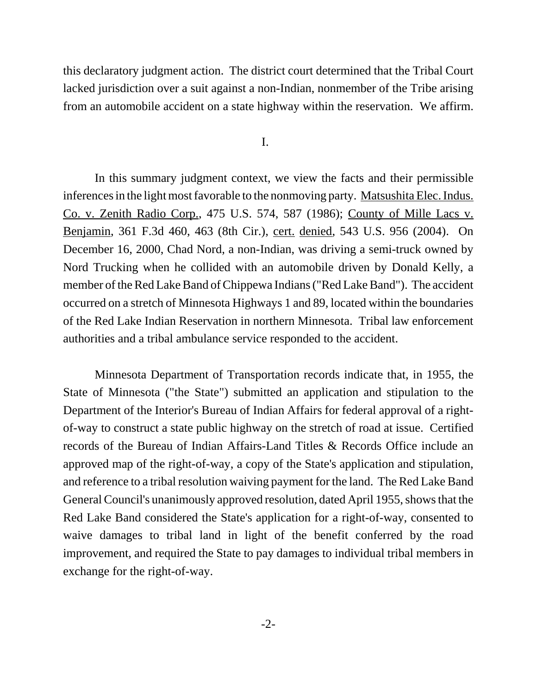this declaratory judgment action. The district court determined that the Tribal Court lacked jurisdiction over a suit against a non-Indian, nonmember of the Tribe arising from an automobile accident on a state highway within the reservation. We affirm.

I.

In this summary judgment context, we view the facts and their permissible inferences in the light most favorable to the nonmoving party. Matsushita Elec. Indus. Co. v. Zenith Radio Corp., 475 U.S. 574, 587 (1986); County of Mille Lacs v. Benjamin, 361 F.3d 460, 463 (8th Cir.), cert. denied, 543 U.S. 956 (2004). On December 16, 2000, Chad Nord, a non-Indian, was driving a semi-truck owned by Nord Trucking when he collided with an automobile driven by Donald Kelly, a member of the Red Lake Band of Chippewa Indians ("Red Lake Band"). The accident occurred on a stretch of Minnesota Highways 1 and 89, located within the boundaries of the Red Lake Indian Reservation in northern Minnesota. Tribal law enforcement authorities and a tribal ambulance service responded to the accident.

Minnesota Department of Transportation records indicate that, in 1955, the State of Minnesota ("the State") submitted an application and stipulation to the Department of the Interior's Bureau of Indian Affairs for federal approval of a rightof-way to construct a state public highway on the stretch of road at issue. Certified records of the Bureau of Indian Affairs-Land Titles & Records Office include an approved map of the right-of-way, a copy of the State's application and stipulation, and reference to a tribal resolution waiving payment for the land. The Red Lake Band General Council's unanimously approved resolution, dated April 1955, shows that the Red Lake Band considered the State's application for a right-of-way, consented to waive damages to tribal land in light of the benefit conferred by the road improvement, and required the State to pay damages to individual tribal members in exchange for the right-of-way.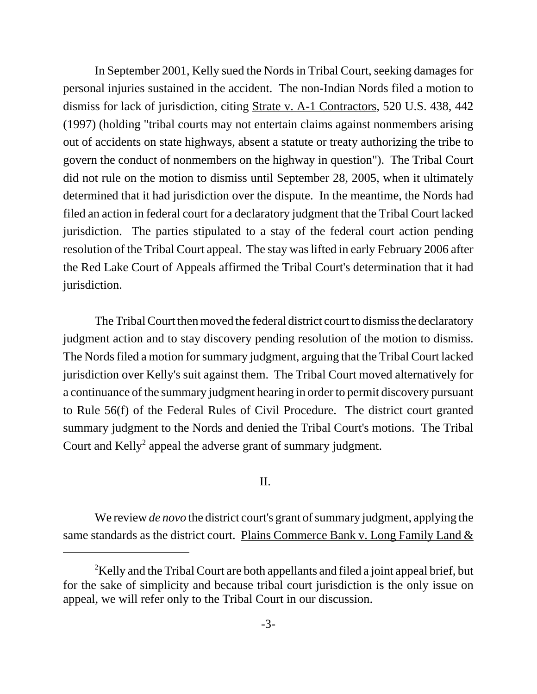In September 2001, Kelly sued the Nords in Tribal Court, seeking damages for personal injuries sustained in the accident. The non-Indian Nords filed a motion to dismiss for lack of jurisdiction, citing Strate v. A-1 Contractors, 520 U.S. 438, 442 (1997) (holding "tribal courts may not entertain claims against nonmembers arising out of accidents on state highways, absent a statute or treaty authorizing the tribe to govern the conduct of nonmembers on the highway in question"). The Tribal Court did not rule on the motion to dismiss until September 28, 2005, when it ultimately determined that it had jurisdiction over the dispute. In the meantime, the Nords had filed an action in federal court for a declaratory judgment that the Tribal Court lacked jurisdiction. The parties stipulated to a stay of the federal court action pending resolution of the Tribal Court appeal. The stay was lifted in early February 2006 after the Red Lake Court of Appeals affirmed the Tribal Court's determination that it had jurisdiction.

The Tribal Court then moved the federal district court to dismiss the declaratory judgment action and to stay discovery pending resolution of the motion to dismiss. The Nords filed a motion for summary judgment, arguing that the Tribal Court lacked jurisdiction over Kelly's suit against them. The Tribal Court moved alternatively for a continuance of the summary judgment hearing in order to permit discovery pursuant to Rule 56(f) of the Federal Rules of Civil Procedure. The district court granted summary judgment to the Nords and denied the Tribal Court's motions. The Tribal Court and  $Kelly<sup>2</sup>$  appeal the adverse grant of summary judgment.

## II.

We review *de novo* the district court's grant of summary judgment, applying the same standards as the district court. Plains Commerce Bank v. Long Family Land  $&$ 

 $2$ Kelly and the Tribal Court are both appellants and filed a joint appeal brief, but for the sake of simplicity and because tribal court jurisdiction is the only issue on appeal, we will refer only to the Tribal Court in our discussion.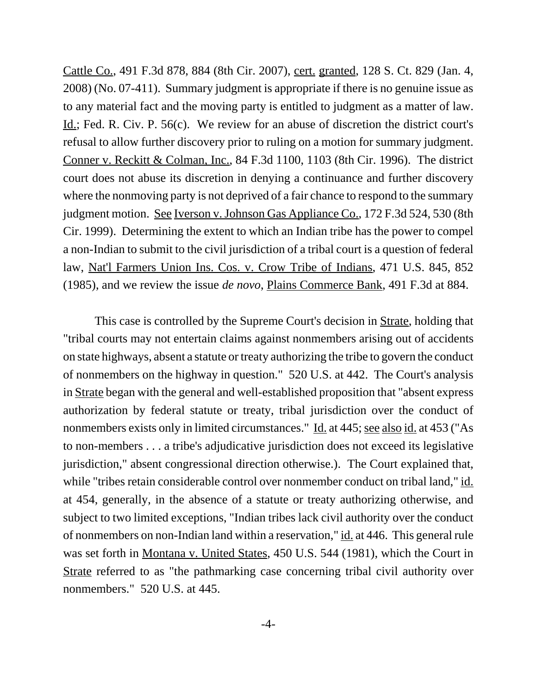Cattle Co., 491 F.3d 878, 884 (8th Cir. 2007), cert. granted, 128 S. Ct. 829 (Jan. 4, 2008) (No. 07-411). Summary judgment is appropriate if there is no genuine issue as to any material fact and the moving party is entitled to judgment as a matter of law. Id.; Fed. R. Civ. P. 56(c). We review for an abuse of discretion the district court's refusal to allow further discovery prior to ruling on a motion for summary judgment. Conner v. Reckitt & Colman, Inc., 84 F.3d 1100, 1103 (8th Cir. 1996). The district court does not abuse its discretion in denying a continuance and further discovery where the nonmoving party is not deprived of a fair chance to respond to the summary judgment motion. See Iverson v. Johnson Gas Appliance Co., 172 F.3d 524, 530 (8th Cir. 1999). Determining the extent to which an Indian tribe has the power to compel a non-Indian to submit to the civil jurisdiction of a tribal court is a question of federal law, Nat'l Farmers Union Ins. Cos. v. Crow Tribe of Indians, 471 U.S. 845, 852 (1985), and we review the issue *de novo*, Plains Commerce Bank, 491 F.3d at 884.

This case is controlled by the Supreme Court's decision in Strate, holding that "tribal courts may not entertain claims against nonmembers arising out of accidents on state highways, absent a statute or treaty authorizing the tribe to govern the conduct of nonmembers on the highway in question." 520 U.S. at 442. The Court's analysis in Strate began with the general and well-established proposition that "absent express authorization by federal statute or treaty, tribal jurisdiction over the conduct of nonmembers exists only in limited circumstances." Id. at 445; see also id. at 453 ("As to non-members . . . a tribe's adjudicative jurisdiction does not exceed its legislative jurisdiction," absent congressional direction otherwise.). The Court explained that, while "tribes retain considerable control over nonmember conduct on tribal land," id. at 454, generally, in the absence of a statute or treaty authorizing otherwise, and subject to two limited exceptions, "Indian tribes lack civil authority over the conduct of nonmembers on non-Indian land within a reservation," id. at 446. This general rule was set forth in Montana v. United States, 450 U.S. 544 (1981), which the Court in Strate referred to as "the pathmarking case concerning tribal civil authority over nonmembers." 520 U.S. at 445.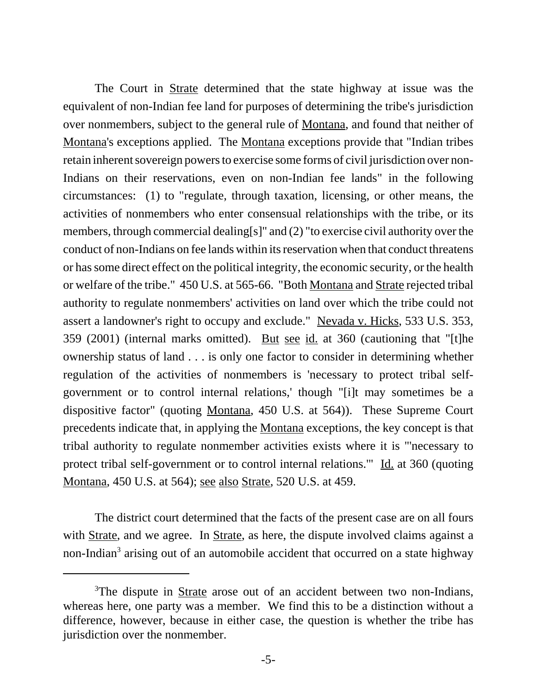The Court in <u>Strate</u> determined that the state highway at issue was the equivalent of non-Indian fee land for purposes of determining the tribe's jurisdiction over nonmembers, subject to the general rule of Montana, and found that neither of Montana's exceptions applied. The Montana exceptions provide that "Indian tribes retain inherent sovereign powers to exercise some forms of civil jurisdiction over non-Indians on their reservations, even on non-Indian fee lands" in the following circumstances: (1) to "regulate, through taxation, licensing, or other means, the activities of nonmembers who enter consensual relationships with the tribe, or its members, through commercial dealing[s]" and (2) "to exercise civil authority over the conduct of non-Indians on fee lands within its reservation when that conduct threatens or has some direct effect on the political integrity, the economic security, or the health or welfare of the tribe." 450 U.S. at 565-66. "Both Montana and Strate rejected tribal authority to regulate nonmembers' activities on land over which the tribe could not assert a landowner's right to occupy and exclude." Nevada v. Hicks, 533 U.S. 353, 359 (2001) (internal marks omitted). But see id. at 360 (cautioning that "[t]he ownership status of land . . . is only one factor to consider in determining whether regulation of the activities of nonmembers is 'necessary to protect tribal selfgovernment or to control internal relations,' though "[i]t may sometimes be a dispositive factor" (quoting Montana, 450 U.S. at 564)). These Supreme Court precedents indicate that, in applying the Montana exceptions, the key concept is that tribal authority to regulate nonmember activities exists where it is "'necessary to protect tribal self-government or to control internal relations." Id. at 360 (quoting Montana, 450 U.S. at 564); see also Strate, 520 U.S. at 459.

The district court determined that the facts of the present case are on all fours with Strate, and we agree. In Strate, as here, the dispute involved claims against a non-Indian<sup>3</sup> arising out of an automobile accident that occurred on a state highway

<sup>&</sup>lt;sup>3</sup>The dispute in **Strate** arose out of an accident between two non-Indians, whereas here, one party was a member. We find this to be a distinction without a difference, however, because in either case, the question is whether the tribe has jurisdiction over the nonmember.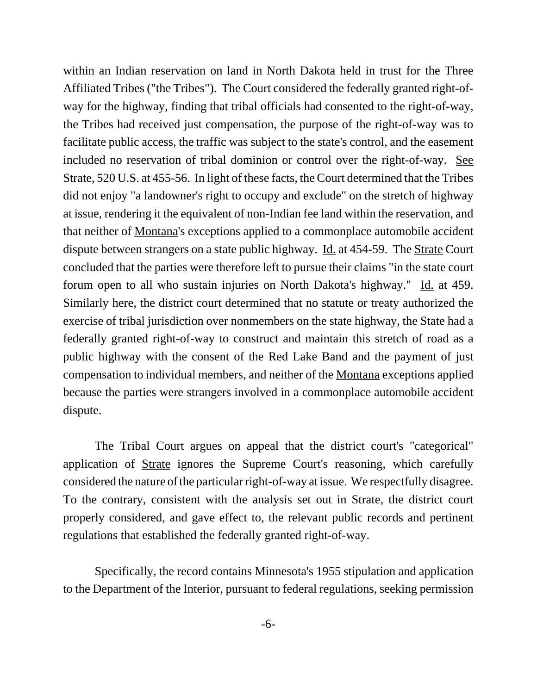within an Indian reservation on land in North Dakota held in trust for the Three Affiliated Tribes ("the Tribes"). The Court considered the federally granted right-ofway for the highway, finding that tribal officials had consented to the right-of-way, the Tribes had received just compensation, the purpose of the right-of-way was to facilitate public access, the traffic was subject to the state's control, and the easement included no reservation of tribal dominion or control over the right-of-way. See Strate, 520 U.S. at 455-56. In light of these facts, the Court determined that the Tribes did not enjoy "a landowner's right to occupy and exclude" on the stretch of highway at issue, rendering it the equivalent of non-Indian fee land within the reservation, and that neither of Montana's exceptions applied to a commonplace automobile accident dispute between strangers on a state public highway. Id. at 454-59. The Strate Court concluded that the parties were therefore left to pursue their claims "in the state court forum open to all who sustain injuries on North Dakota's highway." Id. at 459. Similarly here, the district court determined that no statute or treaty authorized the exercise of tribal jurisdiction over nonmembers on the state highway, the State had a federally granted right-of-way to construct and maintain this stretch of road as a public highway with the consent of the Red Lake Band and the payment of just compensation to individual members, and neither of the Montana exceptions applied because the parties were strangers involved in a commonplace automobile accident dispute.

The Tribal Court argues on appeal that the district court's "categorical" application of Strate ignores the Supreme Court's reasoning, which carefully considered the nature of the particular right-of-way at issue. We respectfully disagree. To the contrary, consistent with the analysis set out in Strate, the district court properly considered, and gave effect to, the relevant public records and pertinent regulations that established the federally granted right-of-way.

Specifically, the record contains Minnesota's 1955 stipulation and application to the Department of the Interior, pursuant to federal regulations, seeking permission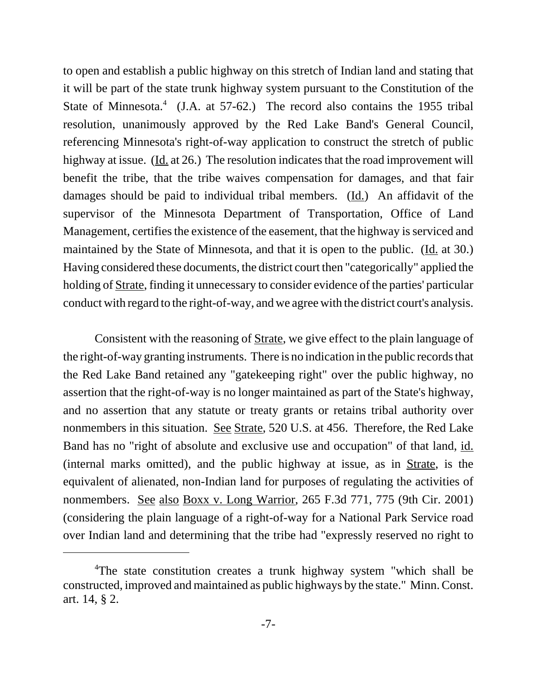to open and establish a public highway on this stretch of Indian land and stating that it will be part of the state trunk highway system pursuant to the Constitution of the State of Minnesota.<sup>4</sup> (J.A. at 57-62.) The record also contains the 1955 tribal resolution, unanimously approved by the Red Lake Band's General Council, referencing Minnesota's right-of-way application to construct the stretch of public highway at issue. (Id. at 26.) The resolution indicates that the road improvement will benefit the tribe, that the tribe waives compensation for damages, and that fair damages should be paid to individual tribal members. (Id.) An affidavit of the supervisor of the Minnesota Department of Transportation, Office of Land Management, certifies the existence of the easement, that the highway is serviced and maintained by the State of Minnesota, and that it is open to the public. (Id. at 30.) Having considered these documents, the district court then "categorically" applied the holding of Strate, finding it unnecessary to consider evidence of the parties' particular conduct with regard to the right-of-way, and we agree with the district court's analysis.

Consistent with the reasoning of Strate, we give effect to the plain language of the right-of-way granting instruments. There is no indication in the public records that the Red Lake Band retained any "gatekeeping right" over the public highway, no assertion that the right-of-way is no longer maintained as part of the State's highway, and no assertion that any statute or treaty grants or retains tribal authority over nonmembers in this situation. See Strate, 520 U.S. at 456. Therefore, the Red Lake Band has no "right of absolute and exclusive use and occupation" of that land, id. (internal marks omitted), and the public highway at issue, as in Strate, is the equivalent of alienated, non-Indian land for purposes of regulating the activities of nonmembers. See also Boxx v. Long Warrior, 265 F.3d 771, 775 (9th Cir. 2001) (considering the plain language of a right-of-way for a National Park Service road over Indian land and determining that the tribe had "expressly reserved no right to

<sup>&</sup>lt;sup>4</sup>The state constitution creates a trunk highway system "which shall be constructed, improved and maintained as public highways by the state." Minn. Const. art. 14, § 2.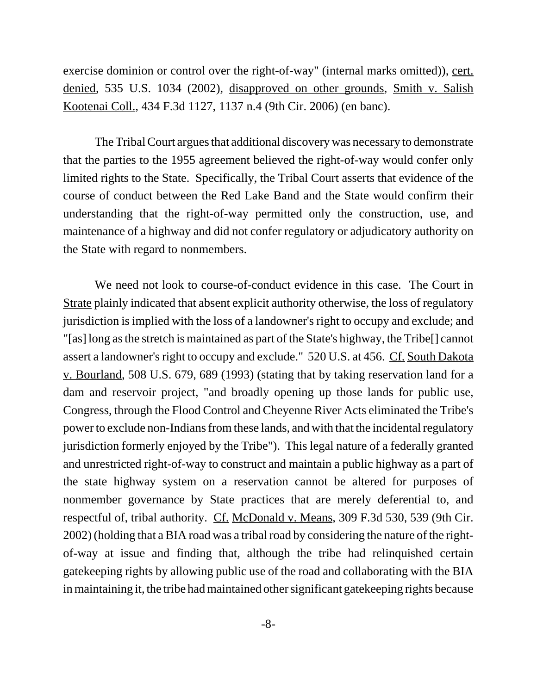exercise dominion or control over the right-of-way" (internal marks omitted)), cert. denied, 535 U.S. 1034 (2002), disapproved on other grounds, Smith v. Salish Kootenai Coll., 434 F.3d 1127, 1137 n.4 (9th Cir. 2006) (en banc).

The Tribal Court argues that additional discovery was necessary to demonstrate that the parties to the 1955 agreement believed the right-of-way would confer only limited rights to the State. Specifically, the Tribal Court asserts that evidence of the course of conduct between the Red Lake Band and the State would confirm their understanding that the right-of-way permitted only the construction, use, and maintenance of a highway and did not confer regulatory or adjudicatory authority on the State with regard to nonmembers.

We need not look to course-of-conduct evidence in this case. The Court in Strate plainly indicated that absent explicit authority otherwise, the loss of regulatory jurisdiction is implied with the loss of a landowner's right to occupy and exclude; and "[as] long as the stretch is maintained as part of the State's highway, the Tribe[] cannot assert a landowner's right to occupy and exclude." 520 U.S. at 456. Cf. South Dakota v. Bourland, 508 U.S. 679, 689 (1993) (stating that by taking reservation land for a dam and reservoir project, "and broadly opening up those lands for public use, Congress, through the Flood Control and Cheyenne River Acts eliminated the Tribe's power to exclude non-Indians from these lands, and with that the incidental regulatory jurisdiction formerly enjoyed by the Tribe"). This legal nature of a federally granted and unrestricted right-of-way to construct and maintain a public highway as a part of the state highway system on a reservation cannot be altered for purposes of nonmember governance by State practices that are merely deferential to, and respectful of, tribal authority. Cf. McDonald v. Means, 309 F.3d 530, 539 (9th Cir. 2002) (holding that a BIA road was a tribal road by considering the nature of the rightof-way at issue and finding that, although the tribe had relinquished certain gatekeeping rights by allowing public use of the road and collaborating with the BIA in maintaining it, the tribe had maintained other significant gatekeeping rights because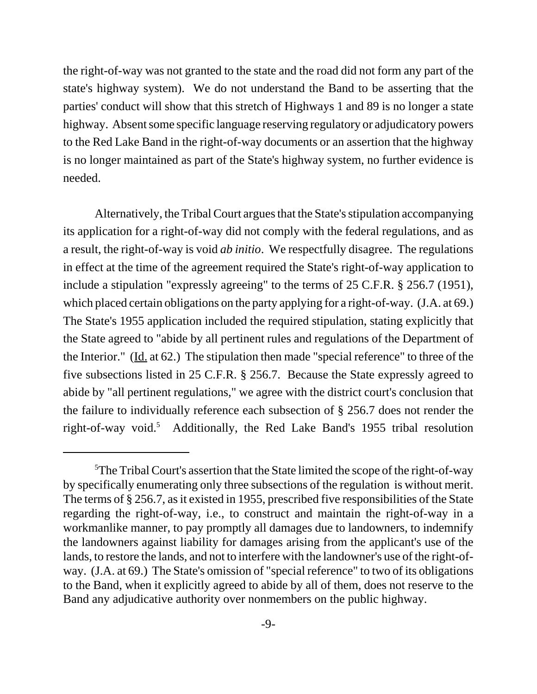the right-of-way was not granted to the state and the road did not form any part of the state's highway system). We do not understand the Band to be asserting that the parties' conduct will show that this stretch of Highways 1 and 89 is no longer a state highway. Absent some specific language reserving regulatory or adjudicatory powers to the Red Lake Band in the right-of-way documents or an assertion that the highway is no longer maintained as part of the State's highway system, no further evidence is needed.

Alternatively, the Tribal Court argues that the State's stipulation accompanying its application for a right-of-way did not comply with the federal regulations, and as a result, the right-of-way is void *ab initio*. We respectfully disagree. The regulations in effect at the time of the agreement required the State's right-of-way application to include a stipulation "expressly agreeing" to the terms of 25 C.F.R. § 256.7 (1951), which placed certain obligations on the party applying for a right-of-way. (J.A. at 69.) The State's 1955 application included the required stipulation, stating explicitly that the State agreed to "abide by all pertinent rules and regulations of the Department of the Interior." (Id. at 62.) The stipulation then made "special reference" to three of the five subsections listed in 25 C.F.R. § 256.7. Because the State expressly agreed to abide by "all pertinent regulations," we agree with the district court's conclusion that the failure to individually reference each subsection of § 256.7 does not render the right-of-way void.<sup>5</sup> Additionally, the Red Lake Band's 1955 tribal resolution

<sup>&</sup>lt;sup>5</sup>The Tribal Court's assertion that the State limited the scope of the right-of-way by specifically enumerating only three subsections of the regulation is without merit. The terms of § 256.7, as it existed in 1955, prescribed five responsibilities of the State regarding the right-of-way, i.e., to construct and maintain the right-of-way in a workmanlike manner, to pay promptly all damages due to landowners, to indemnify the landowners against liability for damages arising from the applicant's use of the lands, to restore the lands, and not to interfere with the landowner's use of the right-ofway. (J.A. at 69.) The State's omission of "special reference" to two of its obligations to the Band, when it explicitly agreed to abide by all of them, does not reserve to the Band any adjudicative authority over nonmembers on the public highway.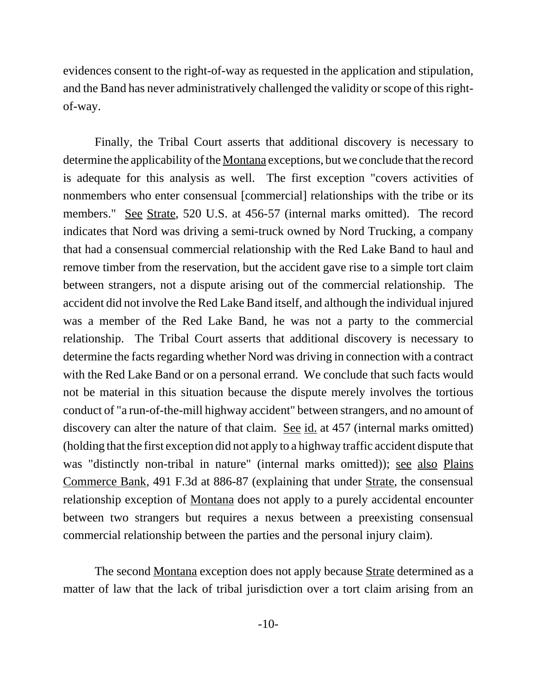evidences consent to the right-of-way as requested in the application and stipulation, and the Band has never administratively challenged the validity or scope of this rightof-way.

Finally, the Tribal Court asserts that additional discovery is necessary to determine the applicability of the Montana exceptions, but we conclude that the record is adequate for this analysis as well. The first exception "covers activities of nonmembers who enter consensual [commercial] relationships with the tribe or its members." See Strate, 520 U.S. at 456-57 (internal marks omitted). The record indicates that Nord was driving a semi-truck owned by Nord Trucking, a company that had a consensual commercial relationship with the Red Lake Band to haul and remove timber from the reservation, but the accident gave rise to a simple tort claim between strangers, not a dispute arising out of the commercial relationship. The accident did not involve the Red Lake Band itself, and although the individual injured was a member of the Red Lake Band, he was not a party to the commercial relationship. The Tribal Court asserts that additional discovery is necessary to determine the facts regarding whether Nord was driving in connection with a contract with the Red Lake Band or on a personal errand. We conclude that such facts would not be material in this situation because the dispute merely involves the tortious conduct of "a run-of-the-mill highway accident" between strangers, and no amount of discovery can alter the nature of that claim. <u>See id.</u> at 457 (internal marks omitted) (holding that the first exception did not apply to a highway traffic accident dispute that was "distinctly non-tribal in nature" (internal marks omitted)); see also Plains Commerce Bank, 491 F.3d at 886-87 (explaining that under Strate, the consensual relationship exception of Montana does not apply to a purely accidental encounter between two strangers but requires a nexus between a preexisting consensual commercial relationship between the parties and the personal injury claim).

The second Montana exception does not apply because Strate determined as a matter of law that the lack of tribal jurisdiction over a tort claim arising from an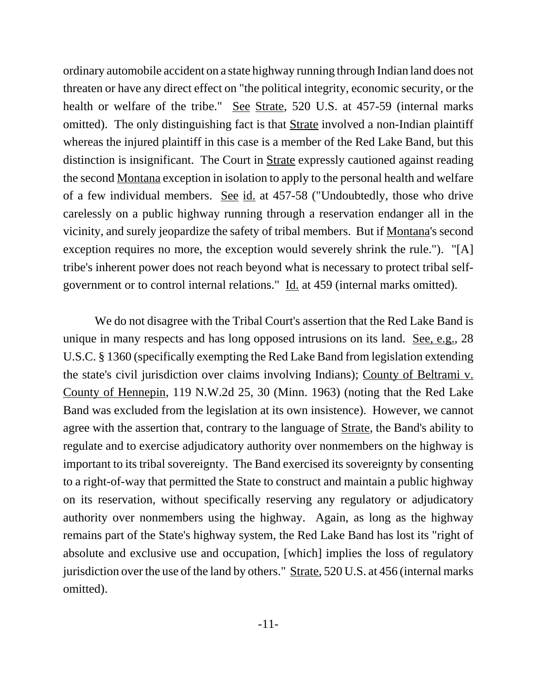ordinary automobile accident on a state highway running through Indian land does not threaten or have any direct effect on "the political integrity, economic security, or the health or welfare of the tribe." See Strate, 520 U.S. at 457-59 (internal marks omitted). The only distinguishing fact is that **Strate** involved a non-Indian plaintiff whereas the injured plaintiff in this case is a member of the Red Lake Band, but this distinction is insignificant. The Court in Strate expressly cautioned against reading the second Montana exception in isolation to apply to the personal health and welfare of a few individual members. See id. at 457-58 ("Undoubtedly, those who drive carelessly on a public highway running through a reservation endanger all in the vicinity, and surely jeopardize the safety of tribal members. But if Montana's second exception requires no more, the exception would severely shrink the rule."). "[A] tribe's inherent power does not reach beyond what is necessary to protect tribal selfgovernment or to control internal relations." Id. at 459 (internal marks omitted).

We do not disagree with the Tribal Court's assertion that the Red Lake Band is unique in many respects and has long opposed intrusions on its land. See, e.g., 28 U.S.C. § 1360 (specifically exempting the Red Lake Band from legislation extending the state's civil jurisdiction over claims involving Indians); County of Beltrami v. County of Hennepin, 119 N.W.2d 25, 30 (Minn. 1963) (noting that the Red Lake Band was excluded from the legislation at its own insistence). However, we cannot agree with the assertion that, contrary to the language of Strate, the Band's ability to regulate and to exercise adjudicatory authority over nonmembers on the highway is important to its tribal sovereignty. The Band exercised its sovereignty by consenting to a right-of-way that permitted the State to construct and maintain a public highway on its reservation, without specifically reserving any regulatory or adjudicatory authority over nonmembers using the highway. Again, as long as the highway remains part of the State's highway system, the Red Lake Band has lost its "right of absolute and exclusive use and occupation, [which] implies the loss of regulatory jurisdiction over the use of the land by others." Strate, 520 U.S. at 456 (internal marks omitted).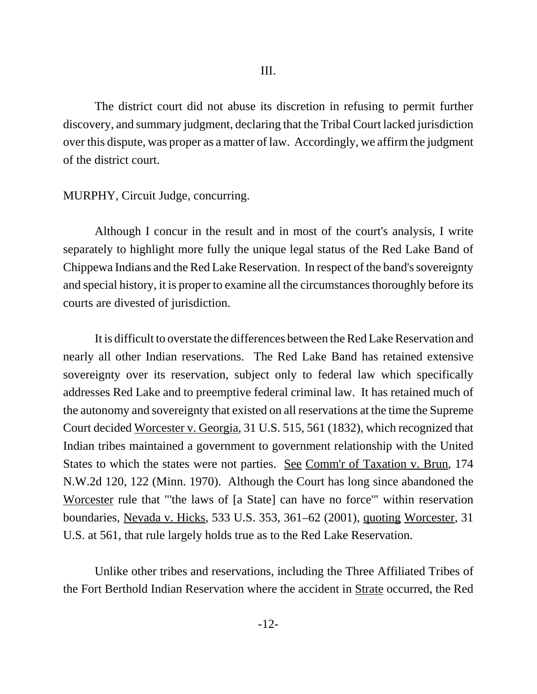The district court did not abuse its discretion in refusing to permit further discovery, and summary judgment, declaring that the Tribal Court lacked jurisdiction over this dispute, was proper as a matter of law. Accordingly, we affirm the judgment of the district court.

## MURPHY, Circuit Judge, concurring.

Although I concur in the result and in most of the court's analysis, I write separately to highlight more fully the unique legal status of the Red Lake Band of Chippewa Indians and the Red Lake Reservation. In respect of the band's sovereignty and special history, it is proper to examine all the circumstances thoroughly before its courts are divested of jurisdiction.

It is difficult to overstate the differences between the Red Lake Reservation and nearly all other Indian reservations. The Red Lake Band has retained extensive sovereignty over its reservation, subject only to federal law which specifically addresses Red Lake and to preemptive federal criminal law. It has retained much of the autonomy and sovereignty that existed on all reservations at the time the Supreme Court decided Worcester v. Georgia, 31 U.S. 515, 561 (1832), which recognized that Indian tribes maintained a government to government relationship with the United States to which the states were not parties. See Comm'r of Taxation v. Brun, 174 N.W.2d 120, 122 (Minn. 1970). Although the Court has long since abandoned the Worcester rule that "'the laws of [a State] can have no force'" within reservation boundaries, Nevada v. Hicks, 533 U.S. 353, 361–62 (2001), quoting Worcester, 31 U.S. at 561, that rule largely holds true as to the Red Lake Reservation.

Unlike other tribes and reservations, including the Three Affiliated Tribes of the Fort Berthold Indian Reservation where the accident in Strate occurred, the Red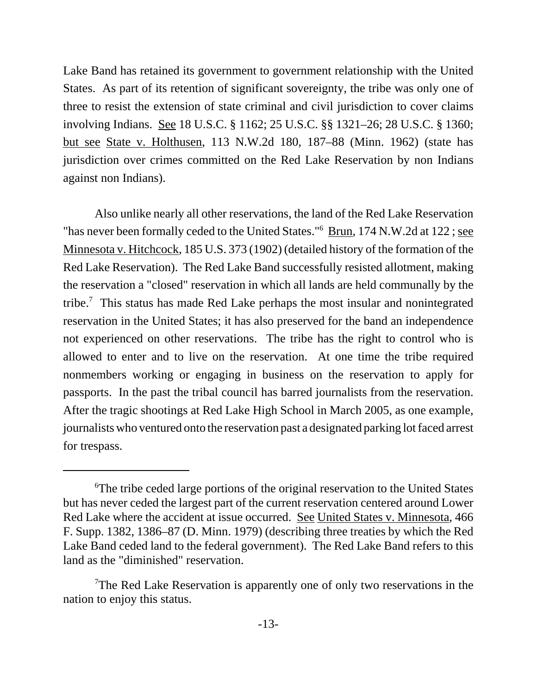Lake Band has retained its government to government relationship with the United States. As part of its retention of significant sovereignty, the tribe was only one of three to resist the extension of state criminal and civil jurisdiction to cover claims involving Indians. See 18 U.S.C. § 1162; 25 U.S.C. §§ 1321–26; 28 U.S.C. § 1360; but see State v. Holthusen, 113 N.W.2d 180, 187–88 (Minn. 1962) (state has jurisdiction over crimes committed on the Red Lake Reservation by non Indians against non Indians).

Also unlike nearly all other reservations, the land of the Red Lake Reservation "has never been formally ceded to the United States."<sup>6</sup> Brun, 174 N.W.2d at 122; see Minnesota v. Hitchcock, 185 U.S. 373 (1902) (detailed history of the formation of the Red Lake Reservation). The Red Lake Band successfully resisted allotment, making the reservation a "closed" reservation in which all lands are held communally by the tribe.<sup>7</sup> This status has made Red Lake perhaps the most insular and nonintegrated reservation in the United States; it has also preserved for the band an independence not experienced on other reservations. The tribe has the right to control who is allowed to enter and to live on the reservation. At one time the tribe required nonmembers working or engaging in business on the reservation to apply for passports. In the past the tribal council has barred journalists from the reservation. After the tragic shootings at Red Lake High School in March 2005, as one example, journalists who ventured onto the reservation past a designated parking lot faced arrest for trespass.

<sup>&</sup>lt;sup>6</sup>The tribe ceded large portions of the original reservation to the United States but has never ceded the largest part of the current reservation centered around Lower Red Lake where the accident at issue occurred. See United States v. Minnesota, 466 F. Supp. 1382, 1386–87 (D. Minn. 1979) (describing three treaties by which the Red Lake Band ceded land to the federal government). The Red Lake Band refers to this land as the "diminished" reservation.

<sup>&</sup>lt;sup>7</sup>The Red Lake Reservation is apparently one of only two reservations in the nation to enjoy this status.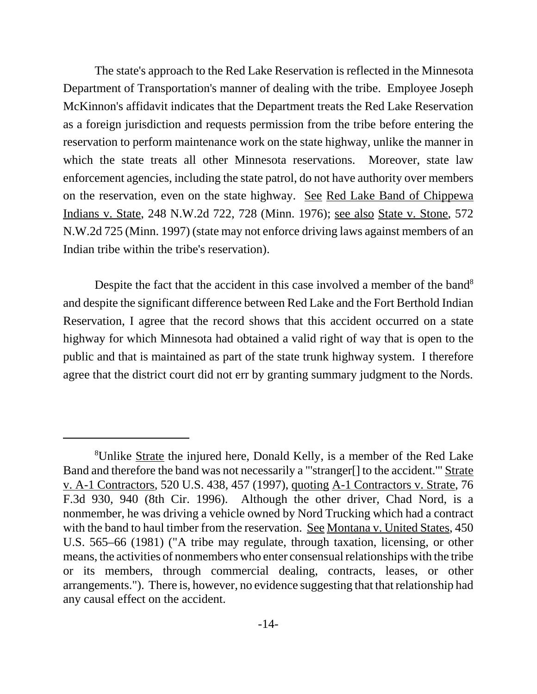The state's approach to the Red Lake Reservation is reflected in the Minnesota Department of Transportation's manner of dealing with the tribe. Employee Joseph McKinnon's affidavit indicates that the Department treats the Red Lake Reservation as a foreign jurisdiction and requests permission from the tribe before entering the reservation to perform maintenance work on the state highway, unlike the manner in which the state treats all other Minnesota reservations. Moreover, state law enforcement agencies, including the state patrol, do not have authority over members on the reservation, even on the state highway. See Red Lake Band of Chippewa Indians v. State, 248 N.W.2d 722, 728 (Minn. 1976); see also State v. Stone, 572 N.W.2d 725 (Minn. 1997) (state may not enforce driving laws against members of an Indian tribe within the tribe's reservation).

Despite the fact that the accident in this case involved a member of the band<sup>8</sup> and despite the significant difference between Red Lake and the Fort Berthold Indian Reservation, I agree that the record shows that this accident occurred on a state highway for which Minnesota had obtained a valid right of way that is open to the public and that is maintained as part of the state trunk highway system. I therefore agree that the district court did not err by granting summary judgment to the Nords.

<sup>&</sup>lt;sup>8</sup>Unlike Strate the injured here, Donald Kelly, is a member of the Red Lake Band and therefore the band was not necessarily a "'stranger[] to the accident.'" Strate v. A-1 Contractors, 520 U.S. 438, 457 (1997), quoting A-1 Contractors v. Strate, 76 F.3d 930, 940 (8th Cir. 1996). Although the other driver, Chad Nord, is a nonmember, he was driving a vehicle owned by Nord Trucking which had a contract with the band to haul timber from the reservation. See Montana v. United States, 450 U.S. 565–66 (1981) ("A tribe may regulate, through taxation, licensing, or other means, the activities of nonmembers who enter consensual relationships with the tribe or its members, through commercial dealing, contracts, leases, or other arrangements."). There is, however, no evidence suggesting that that relationship had any causal effect on the accident.